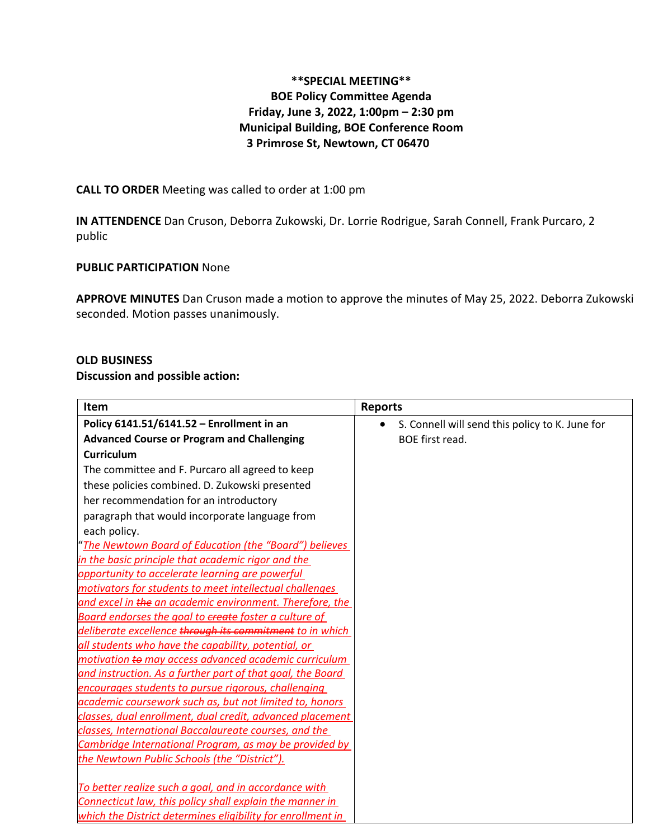# **\*\*SPECIAL MEETING\*\* BOE Policy Committee Agenda Friday, June 3, 2022, 1:00pm – 2:30 pm Municipal Building, BOE Conference Room 3 Primrose St, Newtown, CT 06470**

### **CALL TO ORDER** Meeting was called to order at 1:00 pm

**IN ATTENDENCE** Dan Cruson, Deborra Zukowski, Dr. Lorrie Rodrigue, Sarah Connell, Frank Purcaro, 2 public

## **PUBLIC PARTICIPATION** None

**APPROVE MINUTES** Dan Cruson made a motion to approve the minutes of May 25, 2022. Deborra Zukowski seconded. Motion passes unanimously.

### **OLD BUSINESS**

#### **Discussion and possible action:**

| Item                                                        | <b>Reports</b>                                               |
|-------------------------------------------------------------|--------------------------------------------------------------|
| Policy 6141.51/6141.52 - Enrollment in an                   | S. Connell will send this policy to K. June for<br>$\bullet$ |
| <b>Advanced Course or Program and Challenging</b>           | BOE first read.                                              |
| <b>Curriculum</b>                                           |                                                              |
| The committee and F. Purcaro all agreed to keep             |                                                              |
| these policies combined. D. Zukowski presented              |                                                              |
| her recommendation for an introductory                      |                                                              |
| paragraph that would incorporate language from              |                                                              |
| each policy.                                                |                                                              |
| "The Newtown Board of Education (the "Board") believes      |                                                              |
| in the basic principle that academic rigor and the          |                                                              |
| opportunity to accelerate learning are powerful             |                                                              |
| motivators for students to meet intellectual challenges     |                                                              |
| and excel in the an academic environment. Therefore, the    |                                                              |
| Board endorses the goal to ereate foster a culture of       |                                                              |
| deliberate excellence through its commitment to in which    |                                                              |
| all students who have the capability, potential, or         |                                                              |
| motivation to may access advanced academic curriculum       |                                                              |
| and instruction. As a further part of that goal, the Board  |                                                              |
| encourages students to pursue rigorous, challenging         |                                                              |
| academic coursework such as, but not limited to, honors     |                                                              |
| classes, dual enrollment, dual credit, advanced placement   |                                                              |
| classes, International Baccalaureate courses, and the       |                                                              |
| Cambridge International Program, as may be provided by      |                                                              |
| the Newtown Public Schools (the "District").                |                                                              |
| To better realize such a goal, and in accordance with       |                                                              |
| Connecticut law, this policy shall explain the manner in    |                                                              |
| which the District determines eligibility for enrollment in |                                                              |
|                                                             |                                                              |